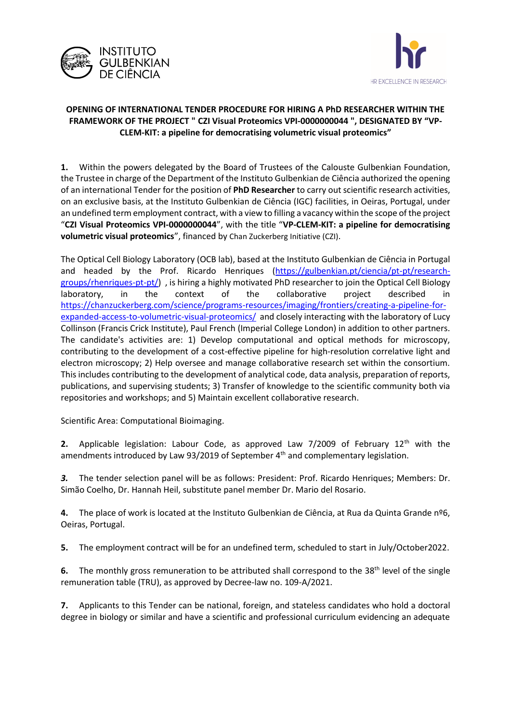



## **OPENING OF INTERNATIONAL TENDER PROCEDURE FOR HIRING A PhD RESEARCHER WITHIN THE FRAMEWORK OF THE PROJECT " CZI Visual Proteomics VPI-0000000044 ", DESIGNATED BY "VP-CLEM-KIT: a pipeline for democratising volumetric visual proteomics"**

**1.** Within the powers delegated by the Board of Trustees of the Calouste Gulbenkian Foundation, the Trustee in charge of the Department of the Instituto Gulbenkian de Ciência authorized the opening of an international Tender for the position of **PhD Researcher** to carry out scientific research activities, on an exclusive basis, at the Instituto Gulbenkian de Ciência (IGC) facilities, in Oeiras, Portugal, under an undefined term employment contract, with a view to filling a vacancy within the scope of the project "**CZI Visual Proteomics VPI-0000000044**", with the title "**VP-CLEM-KIT: a pipeline for democratising volumetric visual proteomics**", financed by Chan Zuckerberg Initiative (CZI).

The Optical Cell Biology Laboratory (OCB lab), based at the Instituto Gulbenkian de Ciência in Portugal and headed by the Prof. Ricardo Henriques [\(https://gulbenkian.pt/ciencia/pt-pt/research](https://gulbenkian.pt/ciencia/pt-pt/research-groups/rhenriques-pt-pt/)[groups/rhenriques-pt-pt/\)](https://gulbenkian.pt/ciencia/pt-pt/research-groups/rhenriques-pt-pt/) , is hiring a highly motivated PhD researcher to join the Optical Cell Biology laboratory, in the context of the collaborative project described in [https://chanzuckerberg.com/science/programs-resources/imaging/frontiers/creating-a-pipeline-for](https://chanzuckerberg.com/science/programs-resources/imaging/frontiers/creating-a-pipeline-for-expanded-access-to-volumetric-visual-proteomics/)[expanded-access-to-volumetric-visual-proteomics/](https://chanzuckerberg.com/science/programs-resources/imaging/frontiers/creating-a-pipeline-for-expanded-access-to-volumetric-visual-proteomics/) and closely interacting with the laboratory of Lucy Collinson (Francis Crick Institute), Paul French (Imperial College London) in addition to other partners. The candidate's activities are: 1) Develop computational and optical methods for microscopy, contributing to the development of a cost-effective pipeline for high-resolution correlative light and electron microscopy; 2) Help oversee and manage collaborative research set within the consortium. This includes contributing to the development of analytical code, data analysis, preparation of reports, publications, and supervising students; 3) Transfer of knowledge to the scientific community both via repositories and workshops; and 5) Maintain excellent collaborative research.

Scientific Area: Computational Bioimaging.

**2.** Applicable legislation: Labour Code, as approved Law 7/2009 of February 12th with the amendments introduced by Law 93/2019 of September  $4<sup>th</sup>$  and complementary legislation.

*3.* The tender selection panel will be as follows: President: Prof. Ricardo Henriques; Members: Dr. Simão Coelho, Dr. Hannah Heil, substitute panel member Dr. Mario del Rosario.

**4.** The place of work is located at the Instituto Gulbenkian de Ciência, at Rua da Quinta Grande nº6, Oeiras, Portugal.

**5.** The employment contract will be for an undefined term, scheduled to start in July/October2022.

**6.** The monthly gross remuneration to be attributed shall correspond to the 38<sup>th</sup> level of the single remuneration table (TRU), as approved by Decree-law no. 109-A/2021.

**7.** Applicants to this Tender can be national, foreign, and stateless candidates who hold a doctoral degree in biology or similar and have a scientific and professional curriculum evidencing an adequate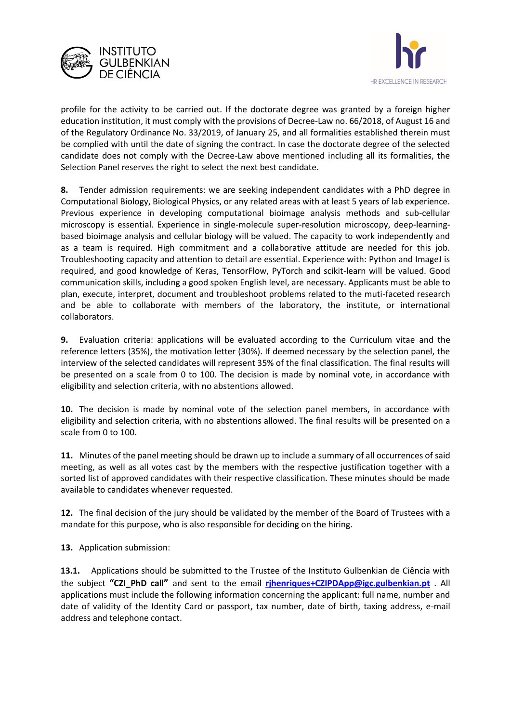



profile for the activity to be carried out. If the doctorate degree was granted by a foreign higher education institution, it must comply with the provisions of Decree-Law no. 66/2018, of August 16 and of the Regulatory Ordinance No. 33/2019, of January 25, and all formalities established therein must be complied with until the date of signing the contract. In case the doctorate degree of the selected candidate does not comply with the Decree-Law above mentioned including all its formalities, the Selection Panel reserves the right to select the next best candidate.

**8.** Tender admission requirements: we are seeking independent candidates with a PhD degree in Computational Biology, Biological Physics, or any related areas with at least 5 years of lab experience. Previous experience in developing computational bioimage analysis methods and sub-cellular microscopy is essential. Experience in single-molecule super-resolution microscopy, deep-learningbased bioimage analysis and cellular biology will be valued. The capacity to work independently and as a team is required. High commitment and a collaborative attitude are needed for this job. Troubleshooting capacity and attention to detail are essential. Experience with: Python and ImageJ is required, and good knowledge of Keras, TensorFlow, PyTorch and scikit-learn will be valued. Good communication skills, including a good spoken English level, are necessary. Applicants must be able to plan, execute, interpret, document and troubleshoot problems related to the muti-faceted research and be able to collaborate with members of the laboratory, the institute, or international collaborators.

**9.** Evaluation criteria: applications will be evaluated according to the Curriculum vitae and the reference letters (35%), the motivation letter (30%). If deemed necessary by the selection panel, the interview of the selected candidates will represent 35% of the final classification. The final results will be presented on a scale from 0 to 100. The decision is made by nominal vote, in accordance with eligibility and selection criteria, with no abstentions allowed.

**10.** The decision is made by nominal vote of the selection panel members, in accordance with eligibility and selection criteria, with no abstentions allowed. The final results will be presented on a scale from 0 to 100.

**11.** Minutes of the panel meeting should be drawn up to include a summary of all occurrences of said meeting, as well as all votes cast by the members with the respective justification together with a sorted list of approved candidates with their respective classification. These minutes should be made available to candidates whenever requested.

**12.** The final decision of the jury should be validated by the member of the Board of Trustees with a mandate for this purpose, who is also responsible for deciding on the hiring.

**13.** Application submission:

**13.1.** Applications should be submitted to the Trustee of the Instituto Gulbenkian de Ciência with the subject **"CZI\_PhD call"** and sent to the email **[rjhenriques+CZIPDApp@igc.gulbenkian.pt](mailto:rjhenriques+CZIPDApp@igc.gulbenkian.pt)** . All applications must include the following information concerning the applicant: full name, number and date of validity of the Identity Card or passport, tax number, date of birth, taxing address, e-mail address and telephone contact.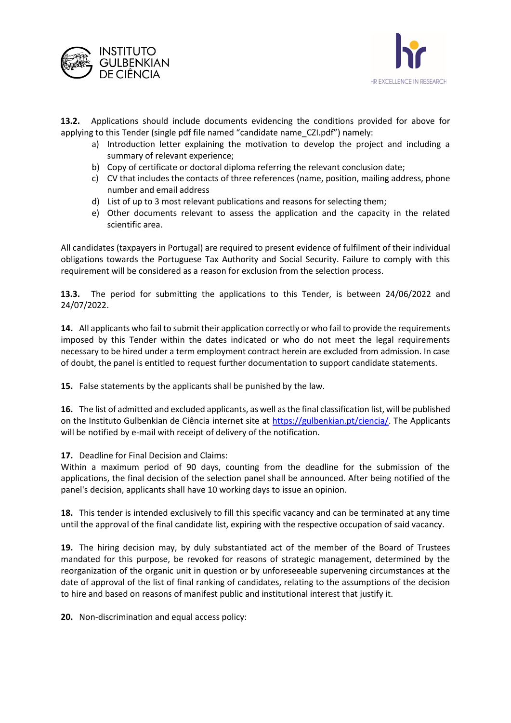



**13.2.** Applications should include documents evidencing the conditions provided for above for applying to this Tender (single pdf file named "candidate name\_CZI.pdf") namely:

- a) Introduction letter explaining the motivation to develop the project and including a summary of relevant experience;
- b) Copy of certificate or doctoral diploma referring the relevant conclusion date;
- c) CV that includes the contacts of three references (name, position, mailing address, phone number and email address
- d) List of up to 3 most relevant publications and reasons for selecting them;
- e) Other documents relevant to assess the application and the capacity in the related scientific area.

All candidates (taxpayers in Portugal) are required to present evidence of fulfilment of their individual obligations towards the Portuguese Tax Authority and Social Security. Failure to comply with this requirement will be considered as a reason for exclusion from the selection process.

**13.3.** The period for submitting the applications to this Tender, is between 24/06/2022 and 24/07/2022.

**14.** All applicants who fail to submit their application correctly or who fail to provide the requirements imposed by this Tender within the dates indicated or who do not meet the legal requirements necessary to be hired under a term employment contract herein are excluded from admission. In case of doubt, the panel is entitled to request further documentation to support candidate statements.

**15.** False statements by the applicants shall be punished by the law.

**16.** The list of admitted and excluded applicants, as well as the final classification list, will be published on the Instituto Gulbenkian de Ciência internet site at [https://gulbenkian.pt/ciencia/.](https://gulbenkian.pt/ciencia/) The Applicants will be notified by e-mail with receipt of delivery of the notification.

## **17.** Deadline for Final Decision and Claims:

Within a maximum period of 90 days, counting from the deadline for the submission of the applications, the final decision of the selection panel shall be announced. After being notified of the panel's decision, applicants shall have 10 working days to issue an opinion.

**18.** This tender is intended exclusively to fill this specific vacancy and can be terminated at any time until the approval of the final candidate list, expiring with the respective occupation of said vacancy.

**19.** The hiring decision may, by duly substantiated act of the member of the Board of Trustees mandated for this purpose, be revoked for reasons of strategic management, determined by the reorganization of the organic unit in question or by unforeseeable supervening circumstances at the date of approval of the list of final ranking of candidates, relating to the assumptions of the decision to hire and based on reasons of manifest public and institutional interest that justify it.

**20.** Non-discrimination and equal access policy: